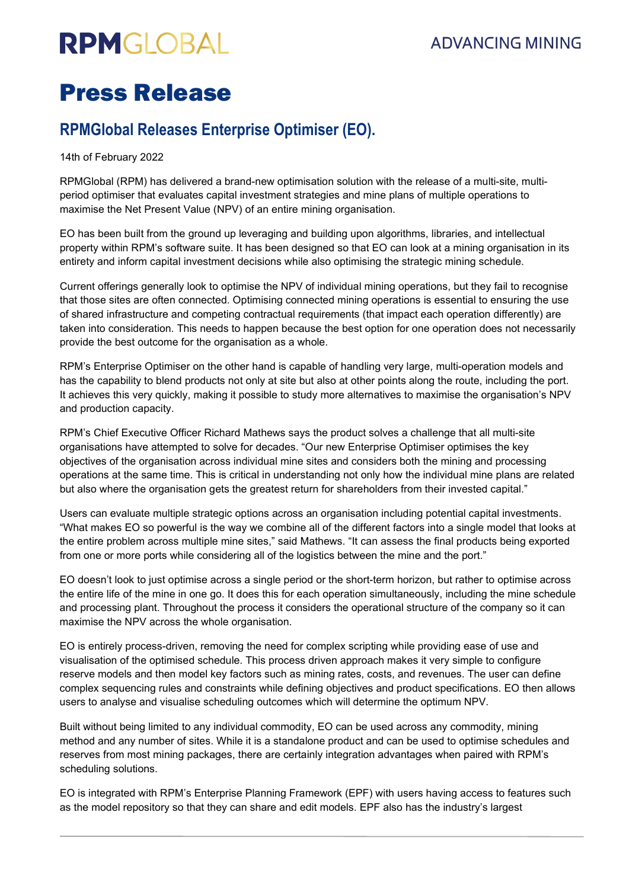# **RPMGLOBAL**

## **ADVANCING MINING**

## Press Release

### **RPMGlobal Releases Enterprise Optimiser (EO).**

14th of February 2022

RPMGlobal (RPM) has delivered a brand-new optimisation solution with the release of a multi-site, multiperiod optimiser that evaluates capital investment strategies and mine plans of multiple operations to maximise the Net Present Value (NPV) of an entire mining organisation.

EO has been built from the ground up leveraging and building upon algorithms, libraries, and intellectual property within RPM's software suite. It has been designed so that EO can look at a mining organisation in its entirety and inform capital investment decisions while also optimising the strategic mining schedule.

Current offerings generally look to optimise the NPV of individual mining operations, but they fail to recognise that those sites are often connected. Optimising connected mining operations is essential to ensuring the use of shared infrastructure and competing contractual requirements (that impact each operation differently) are taken into consideration. This needs to happen because the best option for one operation does not necessarily provide the best outcome for the organisation as a whole.

RPM's Enterprise Optimiser on the other hand is capable of handling very large, multi-operation models and has the capability to blend products not only at site but also at other points along the route, including the port. It achieves this very quickly, making it possible to study more alternatives to maximise the organisation's NPV and production capacity.

RPM's Chief Executive Officer Richard Mathews says the product solves a challenge that all multi-site organisations have attempted to solve for decades. "Our new Enterprise Optimiser optimises the key objectives of the organisation across individual mine sites and considers both the mining and processing operations at the same time. This is critical in understanding not only how the individual mine plans are related but also where the organisation gets the greatest return for shareholders from their invested capital."

Users can evaluate multiple strategic options across an organisation including potential capital investments. "What makes EO so powerful is the way we combine all of the different factors into a single model that looks at the entire problem across multiple mine sites," said Mathews. "It can assess the final products being exported from one or more ports while considering all of the logistics between the mine and the port."

EO doesn't look to just optimise across a single period or the short-term horizon, but rather to optimise across the entire life of the mine in one go. It does this for each operation simultaneously, including the mine schedule and processing plant. Throughout the process it considers the operational structure of the company so it can maximise the NPV across the whole organisation.

EO is entirely process-driven, removing the need for complex scripting while providing ease of use and visualisation of the optimised schedule. This process driven approach makes it very simple to configure reserve models and then model key factors such as mining rates, costs, and revenues. The user can define complex sequencing rules and constraints while defining objectives and product specifications. EO then allows users to analyse and visualise scheduling outcomes which will determine the optimum NPV.

Built without being limited to any individual commodity, EO can be used across any commodity, mining method and any number of sites. While it is a standalone product and can be used to optimise schedules and reserves from most mining packages, there are certainly integration advantages when paired with RPM's scheduling solutions.

EO is integrated with RPM's Enterprise Planning Framework (EPF) with users having access to features such as the model repository so that they can share and edit models. EPF also has the industry's largest